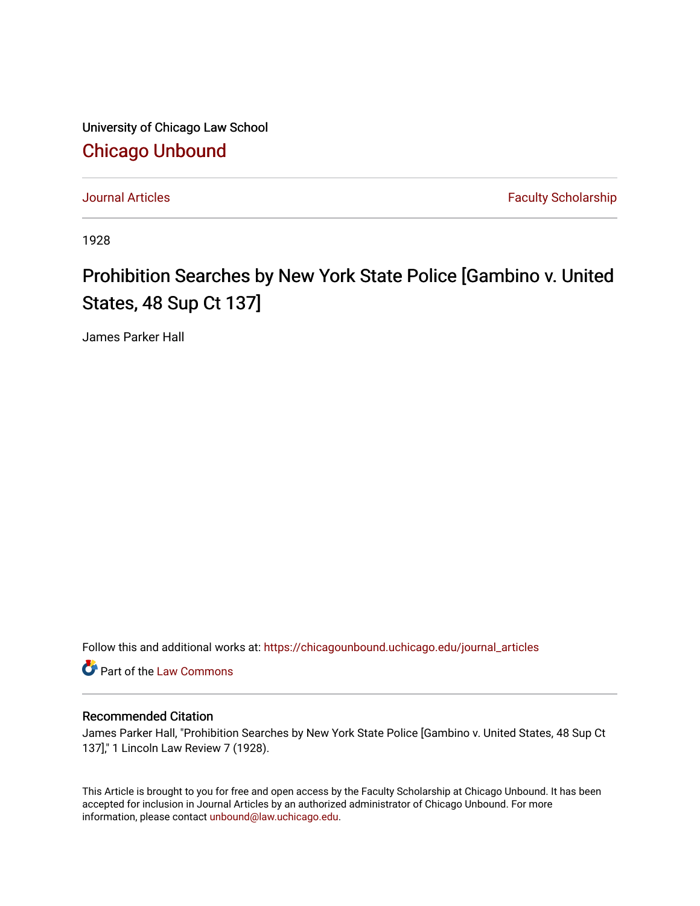University of Chicago Law School [Chicago Unbound](https://chicagounbound.uchicago.edu/)

[Journal Articles](https://chicagounbound.uchicago.edu/journal_articles) **Faculty Scholarship Journal Articles** 

1928

# Prohibition Searches by New York State Police [Gambino v. United States, 48 Sup Ct 137]

James Parker Hall

Follow this and additional works at: [https://chicagounbound.uchicago.edu/journal\\_articles](https://chicagounbound.uchicago.edu/journal_articles?utm_source=chicagounbound.uchicago.edu%2Fjournal_articles%2F9320&utm_medium=PDF&utm_campaign=PDFCoverPages) 

Part of the [Law Commons](http://network.bepress.com/hgg/discipline/578?utm_source=chicagounbound.uchicago.edu%2Fjournal_articles%2F9320&utm_medium=PDF&utm_campaign=PDFCoverPages)

## Recommended Citation

James Parker Hall, "Prohibition Searches by New York State Police [Gambino v. United States, 48 Sup Ct 137]," 1 Lincoln Law Review 7 (1928).

This Article is brought to you for free and open access by the Faculty Scholarship at Chicago Unbound. It has been accepted for inclusion in Journal Articles by an authorized administrator of Chicago Unbound. For more information, please contact [unbound@law.uchicago.edu](mailto:unbound@law.uchicago.edu).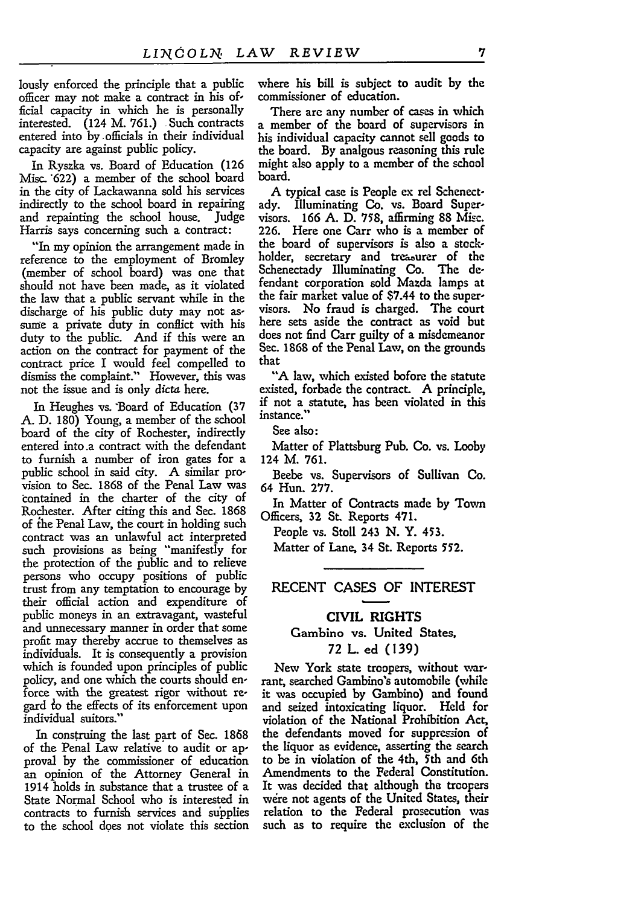lously enforced the principle that a public officer may not make a contract in his official capacity in which he is personally interested. (124 M. 761.) Such contracts entered into by officials in their individual capacity are against public policy.

In Ryszka vs. Board of Education (126 Misc. 622) a member of the school board in the city of Lackawanna sold his services indirectly to the school board in repairing and repainting the school house. Judge Harris says concerning such a contract:

"In my opinion the arrangement made in reference to the employment of Bromley (member of school board) was one that should not have been made, as it violated the law that a public servant while in the discharge of his public duty may not assume a private duty in conflict with his duty to the public. And if this were an action on the contract for payment of the contract price I would feel compelled to dismiss the complaint." However, this was not the issue and is only dicta here.

In Heughes vs. Board of Education (37 **A.** D. 180) Young, a member of the school board of the city of Rochester, indirectly entered into.a contract with the defendant to furnish a number of iron gates for a public school in said city. **A** similar provision to Sec. 1868 of the Penal Law was contained in the charter of the city of Rochester. After citing this and Sec. 1868 of ihe Penal Law, the court in holding such contract was an unlawful act interpreted such provisions as being "manifestly for the protection of the public and to relieve persons who occupy positions of public trust from any temptation to encourage by their official action and expenditure of public moneys in an extravagant, wasteful and unnecessary manner in order that some profit may thereby accrue to themselves as individuals. It is consequently a provision which is founded upon principles of public policy, and one which the courts should enforce with the greatest rigor without regard io the effects of its enforcement upon individual suitors."

In construing the last part of Sec. **1868** of the Penal Law relative to audit or approval by the commissioner of education an opinion of the Attorney General in 1914 holds in substance that a trustee of a State Normal School who is interested in contracts to furnish services and supplies to the school does not violate this section

where his bill is subject to audit **by** the commissioner of education.

There are any number of cases in which a member of the board of supervisors in his individual capacity cannot sell goods to the board. **By** analgous reasoning this rule might also apply to a member of the school board.

A typical case is People ex rel Schenectady. Illuminating Co. vs. Board Supervisors. 166 A. D. **758,** affirming **88** Misc. 226. Here one Carr who is a member of the board of supervisors is also a stockholder, secretary and treasurer of the Schenectady Illuminating Co. The defendant corporation sold Mazda lamps at the fair market value of \$7.44 to the supervisors. No fraud is charged. The court here sets aside the contract as void but does not find Carr guilty of a misdemeanor Sec. **1868** of the Penal Law, on the grounds that

**"A** law, which existed bofore the statute existed, forbade the contract. A principle, if not a statute, has been violated in this instance."

See also:

Matter of Plattsburg Pub. Co. vs. Looby 124 M. 761.

Beebe vs. Supervisors of Sullivan Co. 64 Hun. 277.

In Matter of Contracts made by Town Officers, 32 **St.** Reports 471.

People vs. Stoll 243 N. Y. 453.

Matter of Lane, 34 St. Reports **552.**

#### RECENT CASES OF INTEREST

## **CIVIL** RIGHTS Gambino vs. United States,

### **72** L. ed (139)

New York state troopers, without warrant, searched Gambino's automobile (while it was occupied **by** Gambino) and found and seized intoxicating liquor. Held for violation of the National Prohibition Act, the defendants moved for suppression of the liquor as evidence, asserting the search to be in violation of the 4th, 5th and 6th Amendments to the Federal Constitution. It was decided that although the troopers were not agents of the United States, their relation to the Federal prosecution was such as to require the exclusion of the